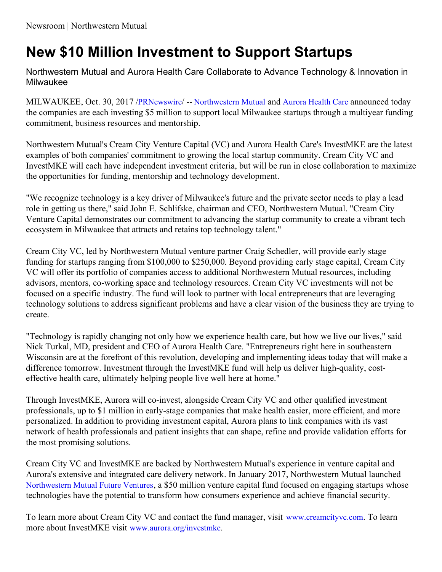## **New \$10 Million Investment to Support Startups**

Northwestern Mutual and Aurora Health Care Collaborate to Advance Technology & Innovation in Milwaukee

MILWAUKEE, Oct. 30, 2017 /[PRNewswire](http://www.prnewswire.com/)/ -- [Northwestern](https://www.northwesternmutual.com/) Mutual and [Aurora](https://www.aurorahealthcare.org/) Health Care announced today the companies are each investing \$5 million to support local Milwaukee startups through a multiyear funding commitment, business resources and mentorship.

Northwestern Mutual's Cream City Venture Capital (VC) and Aurora Health Care's InvestMKE are the latest examples of both companies' commitment to growing the local startup community. Cream City VC and InvestMKE will each have independent investment criteria, but will be run in close collaboration to maximize the opportunities for funding, mentorship and technology development.

"We recognize technology is a key driver of Milwaukee's future and the private sector needs to play a lead role in getting us there," said John E. Schlifske, chairman and CEO, Northwestern Mutual. "Cream City Venture Capital demonstrates our commitment to advancing the startup community to create a vibrant tech ecosystem in Milwaukee that attracts and retains top technology talent."

Cream City VC, led by Northwestern Mutual venture partner Craig Schedler, will provide early stage funding for startups ranging from \$100,000 to \$250,000. Beyond providing early stage capital, Cream City VC will offer its portfolio of companies access to additional Northwestern Mutual resources, including advisors, mentors, co-working space and technology resources. Cream City VC investments will not be focused on a specific industry. The fund will look to partner with local entrepreneurs that are leveraging technology solutions to address significant problems and have a clear vision of the business they are trying to create.

"Technology is rapidly changing not only how we experience health care, but how we live our lives," said Nick Turkal, MD, president and CEO of Aurora Health Care. "Entrepreneurs right here in southeastern Wisconsin are at the forefront of this revolution, developing and implementing ideas today that will make a difference tomorrow. Investment through the InvestMKE fund will help us deliver high-quality, costeffective health care, ultimately helping people live well here at home."

Through InvestMKE, Aurora will co-invest, alongside Cream City VC and other qualified investment professionals, up to \$1 million in early-stage companies that make health easier, more efficient, and more personalized. In addition to providing investment capital, Aurora plans to link companies with its vast network of health professionals and patient insights that can shape, refine and provide validation efforts for the most promising solutions.

Cream City VC and InvestMKE are backed by Northwestern Mutual's experience in venture capital and Aurora's extensive and integrated care delivery network. In January 2017, Northwestern Mutual launched [Northwestern](http://nmfutureventures.com/) Mutual Future Ventures, a \$50 million venture capital fund focused on engaging startups whose technologies have the potential to transform how consumers experience and achieve financial security.

To learn more about Cream City VC and contact the fund manager, visit [www.creamcityvc.com](http://www.creamcityvc.com/). To learn more about InvestMKE visit [www.aurora.org/investmke](http://www.aurora.org/investmke).